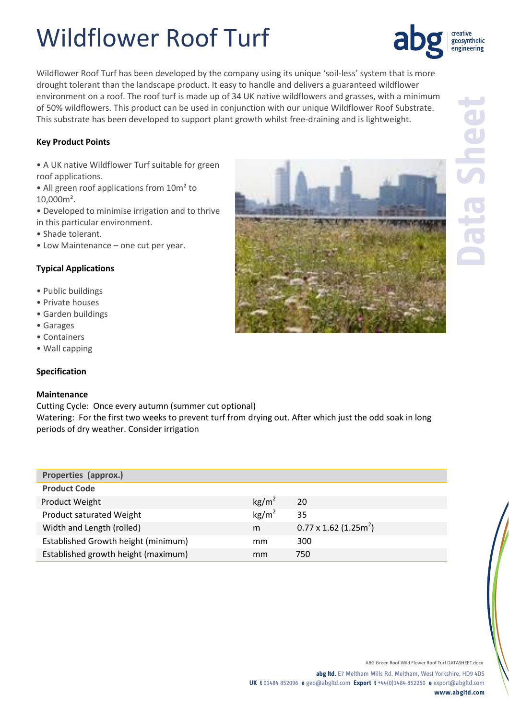## Wildflower Roof Turf

Wildflower Roof Turf has been developed by the company using its unique 'soil-less' system that is more drought tolerant than the landscape product. It easy to handle and delivers a guaranteed wildflower environment on a roof. The roof turf is made up of 34 UK native wildflowers and grasses, with a minimum of 50% wildflowers. This product can be used in conjunction with our unique Wildflower Roof Substrate. This substrate has been developed to support plant growth whilst free-draining and is lightweight.

#### **Key Product Points**

- A UK native Wildflower Turf suitable for green roof applications.
- All green roof applications from 10m<sup>2</sup> to 10,000m².
- Developed to minimise irrigation and to thrive in this particular environment.
- Shade tolerant.
- Low Maintenance one cut per year.

#### **Typical Applications**

- Public buildings
- Private houses
- Garden buildings
- Garages
- Containers
- Wall capping

### **Specification**

#### **Maintenance**

Cutting Cycle: Once every autumn (summer cut optional) Watering: For the first two weeks to prevent turf from drying out. After which just the odd soak in long periods of dry weather. Consider irrigation

| Properties (approx.)                |                   |                                          |
|-------------------------------------|-------------------|------------------------------------------|
| <b>Product Code</b>                 |                   |                                          |
| Product Weight                      | kg/m <sup>2</sup> | 20                                       |
| Product saturated Weight            | kg/m <sup>2</sup> | 35                                       |
| Width and Length (rolled)           | m                 | $0.77 \times 1.62$ (1.25m <sup>2</sup> ) |
| Established Growth height (minimum) | mm                | 300                                      |
| Established growth height (maximum) | mm                | 750                                      |



creative geosynthetic engineering

ABG Green Roof Wild Flower Roof Turf DATASHEET.docx

**abg ltd.** E7 Meltham Mills Rd, Meltham, West Yorkshire, HD9 4DS **UK t** 01484 852096 **e** geo@abgltd.com **Export t** +44(0)1484 852250 **e** export@abgltd.com **www.abgltd.com**